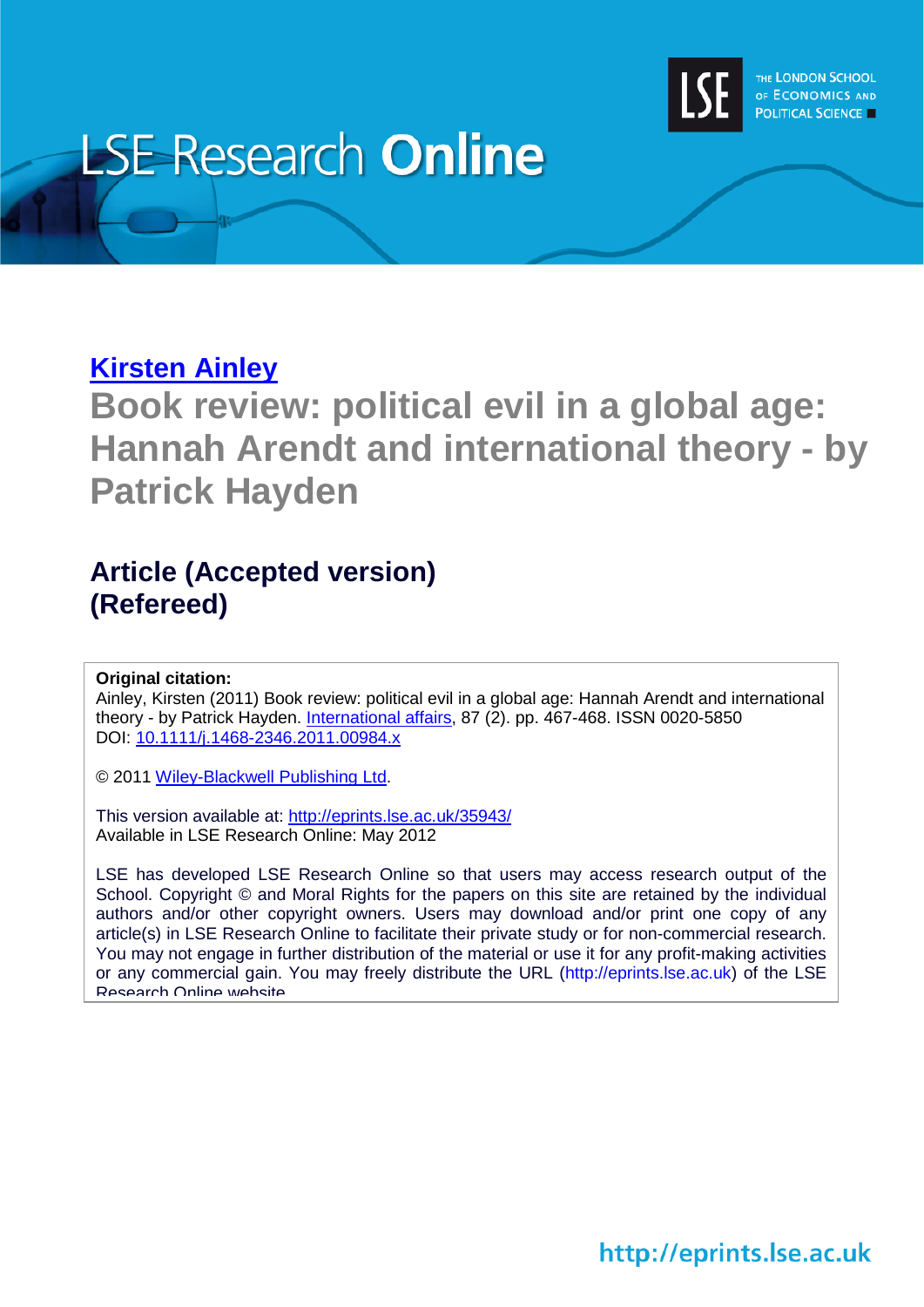

## **LSE Research Online**

## **[Kirsten Ainley](http://www2.lse.ac.uk/researchAndExpertise/Experts/profile.aspx?KeyValue=k.a.ainley@lse.ac.uk)**

**Book review: political evil in a global age: Hannah Arendt and international theory - by Patrick Hayden**

## **Article (Accepted version) (Refereed)**

## **Original citation:**

Ainley, Kirsten (2011) Book review: political evil in a global age: Hannah Arendt and international theory - by Patrick Hayden. [International affairs,](http://www.wiley.com/bw/journal.asp?ref=0020-5850) 87 (2). pp. 467-468. ISSN 0020-5850 DOI: [10.1111/j.1468-2346.2011.00984.x](http://dx.doi.org/10.1111/j.1468-2346.2011.00984.x)

© 2011 [Wiley-Blackwell Publishing Ltd.](http://eu.wiley.com/WileyCDA/Brand/id-35.html)

This version available at:<http://eprints.lse.ac.uk/35943/> Available in LSE Research Online: May 2012

LSE has developed LSE Research Online so that users may access research output of the School. Copyright © and Moral Rights for the papers on this site are retained by the individual authors and/or other copyright owners. Users may download and/or print one copy of any article(s) in LSE Research Online to facilitate their private study or for non-commercial research. You may not engage in further distribution of the material or use it for any profit-making activities or any commercial gain. You may freely distribute the URL (http://eprints.lse.ac.uk) of the LSE Research Online website

http://eprints.lse.ac.uk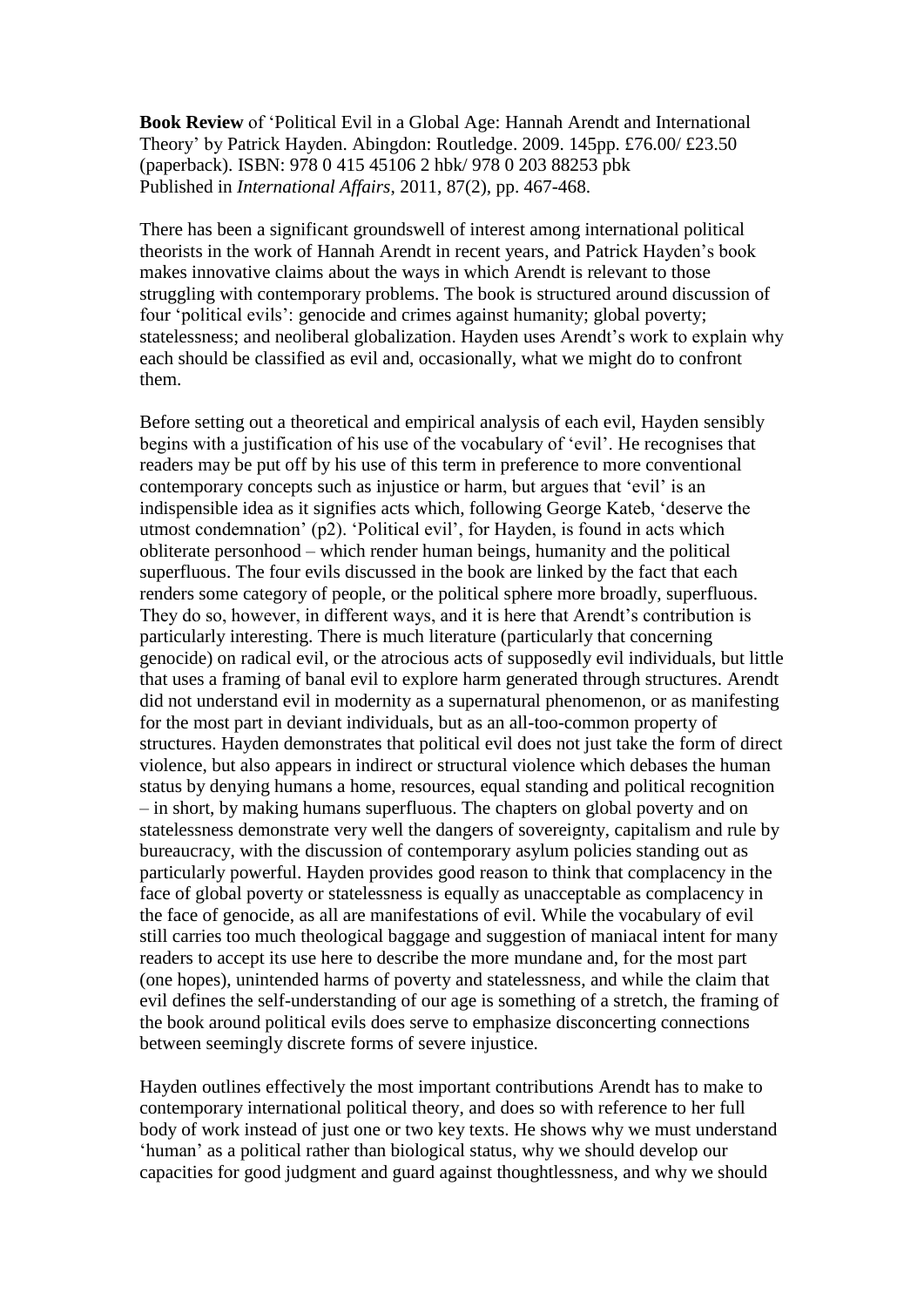**Book Review** of 'Political Evil in a Global Age: Hannah Arendt and International Theory' by Patrick Hayden. Abingdon: Routledge. 2009. 145pp. £76.00/ £23.50 (paperback). ISBN: 978 0 415 45106 2 hbk/ 978 0 203 88253 pbk Published in *International Affairs*, 2011, 87(2), pp. 467-468.

There has been a significant groundswell of interest among international political theorists in the work of Hannah Arendt in recent years, and Patrick Hayden's book makes innovative claims about the ways in which Arendt is relevant to those struggling with contemporary problems. The book is structured around discussion of four 'political evils': genocide and crimes against humanity; global poverty; statelessness; and neoliberal globalization. Hayden uses Arendt's work to explain why each should be classified as evil and, occasionally, what we might do to confront them.

Before setting out a theoretical and empirical analysis of each evil, Hayden sensibly begins with a justification of his use of the vocabulary of 'evil'. He recognises that readers may be put off by his use of this term in preference to more conventional contemporary concepts such as injustice or harm, but argues that 'evil' is an indispensible idea as it signifies acts which, following George Kateb, 'deserve the utmost condemnation' (p2). 'Political evil', for Hayden, is found in acts which obliterate personhood – which render human beings, humanity and the political superfluous. The four evils discussed in the book are linked by the fact that each renders some category of people, or the political sphere more broadly, superfluous. They do so, however, in different ways, and it is here that Arendt's contribution is particularly interesting. There is much literature (particularly that concerning genocide) on radical evil, or the atrocious acts of supposedly evil individuals, but little that uses a framing of banal evil to explore harm generated through structures. Arendt did not understand evil in modernity as a supernatural phenomenon, or as manifesting for the most part in deviant individuals, but as an all-too-common property of structures. Hayden demonstrates that political evil does not just take the form of direct violence, but also appears in indirect or structural violence which debases the human status by denying humans a home, resources, equal standing and political recognition – in short, by making humans superfluous. The chapters on global poverty and on statelessness demonstrate very well the dangers of sovereignty, capitalism and rule by bureaucracy, with the discussion of contemporary asylum policies standing out as particularly powerful. Hayden provides good reason to think that complacency in the face of global poverty or statelessness is equally as unacceptable as complacency in the face of genocide, as all are manifestations of evil. While the vocabulary of evil still carries too much theological baggage and suggestion of maniacal intent for many readers to accept its use here to describe the more mundane and, for the most part (one hopes), unintended harms of poverty and statelessness, and while the claim that evil defines the self-understanding of our age is something of a stretch, the framing of the book around political evils does serve to emphasize disconcerting connections between seemingly discrete forms of severe injustice.

Hayden outlines effectively the most important contributions Arendt has to make to contemporary international political theory, and does so with reference to her full body of work instead of just one or two key texts. He shows why we must understand 'human' as a political rather than biological status, why we should develop our capacities for good judgment and guard against thoughtlessness, and why we should